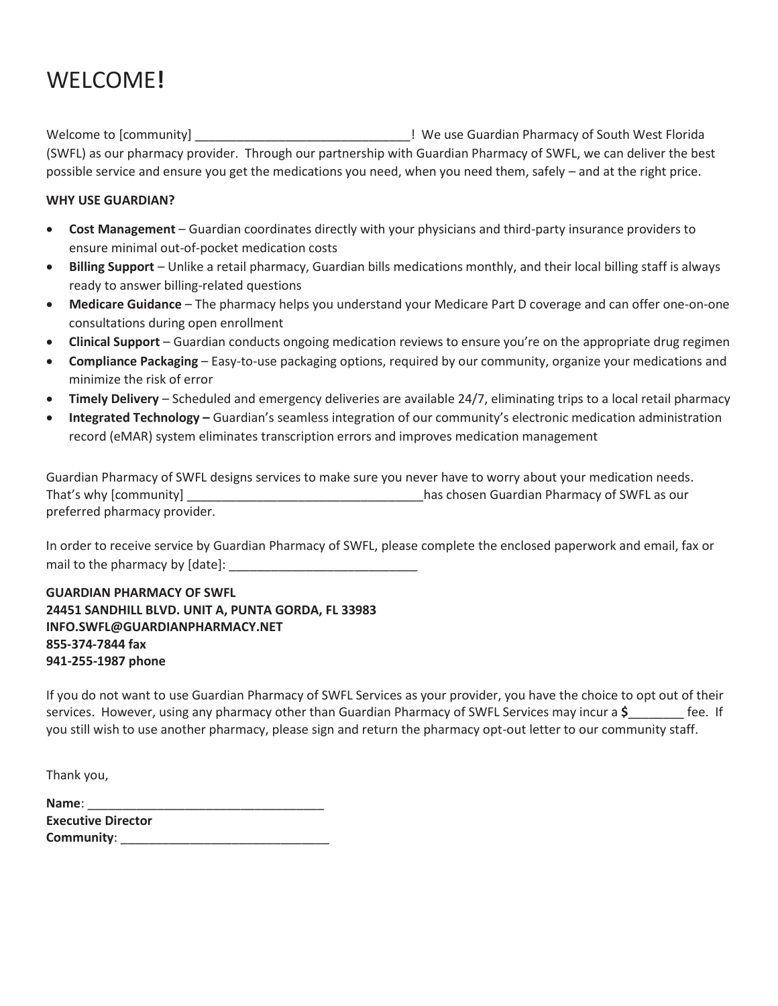# WELCOME**!**

Welcome to [community] The same of the use Guardian Pharmacy of South West Florida (SWFL) as our pharmacy provider. Through our partnership with Guardian Pharmacy of SWFL, we can deliver the best possible service and ensure you get the medications you need, when you need them, safely – and at the right price.

#### **WHY USE GUARDIAN?**

- **Cost Management** Guardian coordinates directly with your physicians and third-party insurance providers to ensure minimal out-of-pocket medication costs
- **Billing Support** Unlike a retail pharmacy, Guardian bills medications monthly, and their local billing staff is always ready to answer billing-related questions
- **Medicare Guidance** The pharmacy helps you understand your Medicare Part D coverage and can offer one-on-one consultations during open enrollment
- **Clinical Support** Guardian conducts ongoing medication reviews to ensure you're on the appropriate drug regimen
- **Compliance Packaging** Easy-to-use packaging options, required by our community, organize your medications and minimize the risk of error
- **Timely Delivery** Scheduled and emergency deliveries are available 24/7, eliminating trips to a local retail pharmacy
- **Integrated Technology** Guardian's seamless integration of our community's electronic medication administration record (eMAR) system eliminates transcription errors and improves medication management

Guardian Pharmacy of SWFL designs services to make sure you never have to worry about your medication needs. That's why [community] \_\_\_\_\_\_\_\_\_\_\_\_\_\_\_\_\_\_\_\_\_\_\_\_\_\_\_\_\_\_\_\_\_\_has chosen Guardian Pharmacy of SWFL as our preferred pharmacy provider.

In order to receive service by Guardian Pharmacy of SWFL, please complete the enclosed paperwork and email, fax or mail to the pharmacy by [date]: \_\_\_\_\_\_\_\_\_\_\_\_\_\_\_\_\_\_\_\_\_\_\_\_\_\_\_

**GUARDIAN PHARMACY OF SWFL 24451 SANDHILL BLVD. UNIT A, PUNTA GORDA, FL 33983 INFO.SWFL@GUARDIANPHARMACY.NET 855-374-7844 fax 941-255-1987 phone**

If you do not want to use Guardian Pharmacy of SWFL Services as your provider, you have the choice to opt out of their services. However, using any pharmacy other than Guardian Pharmacy of SWFL Services may incur a **\$**\_\_\_\_\_\_\_\_ fee. If you still wish to use another pharmacy, please sign and return the pharmacy opt-out letter to our community staff.

Thank you,

| Name:                     |  |
|---------------------------|--|
| <b>Executive Director</b> |  |
| Community:                |  |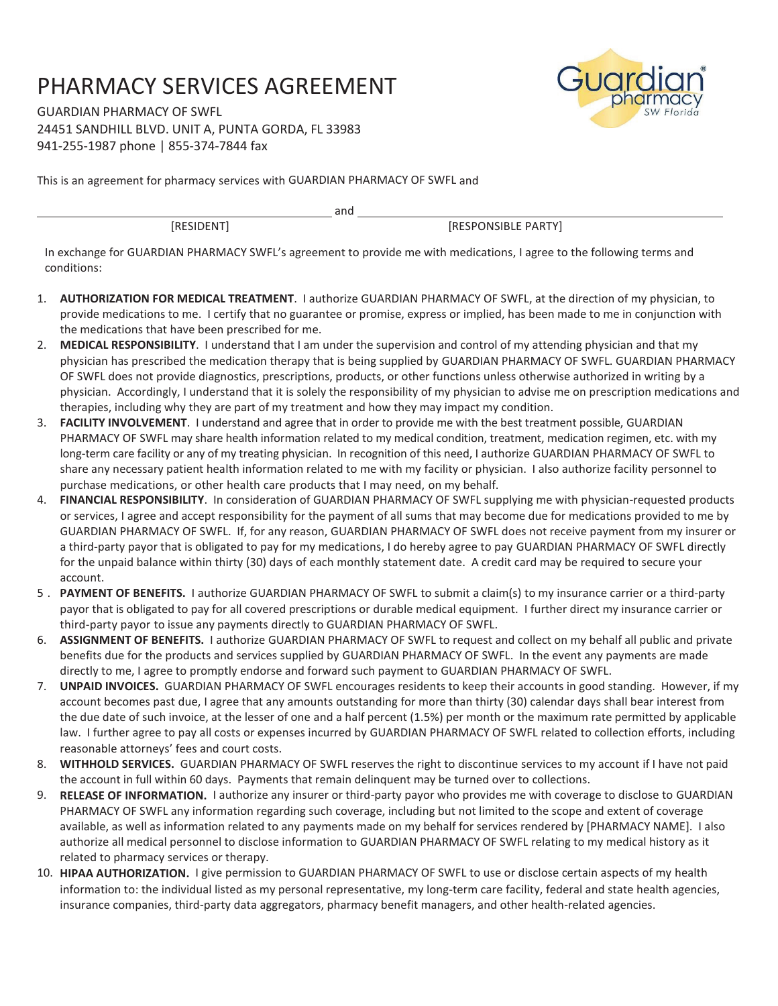## PHARMACY SERVICES AGREEMENT

GUARDIAN PHARMACY OF SWFL 24451 SANDHILL BLVD. UNIT A, PUNTA GORDA, FL 33983 941-255-1987 phone | 855-374-7844 fax

This is an agreement for pharmacy services with GUARDIAN PHARMACY OF SWFL and

[RESIDENT] [RESPONSIBLE PARTY]

In exchange for GUARDIAN PHARMACY SWFL's agreement to provide me with medications, I agree to the following terms and conditions:

and

- 1. **AUTHORIZATION FOR MEDICAL TREATMENT**. I authorize GUARDIAN PHARMACY OF SWFL, at the direction of my physician, to provide medications to me. I certify that no guarantee or promise, express or implied, has been made to me in conjunction with the medications that have been prescribed for me.
- 2. **MEDICAL RESPONSIBILITY**. I understand that I am under the supervision and control of my attending physician and that my physician has prescribed the medication therapy that is being supplied by GUARDIAN PHARMACY OF SWFL. GUARDIAN PHARMACY OF SWFL does not provide diagnostics, prescriptions, products, or other functions unless otherwise authorized in writing by a physician. Accordingly, I understand that it is solely the responsibility of my physician to advise me on prescription medications and therapies, including why they are part of my treatment and how they may impact my condition.
- 3. **FACILITY INVOLVEMENT**. I understand and agree that in order to provide me with the best treatment possible, GUARDIAN PHARMACY OF SWFL may share health information related to my medical condition, treatment, medication regimen, etc. with my long-term care facility or any of my treating physician. In recognition of this need, I authorize GUARDIAN PHARMACY OF SWFL to share any necessary patient health information related to me with my facility or physician. I also authorize facility personnel to purchase medications, or other health care products that I may need, on my behalf.
- 4. **FINANCIAL RESPONSIBILITY**. In consideration of GUARDIAN PHARMACY OF SWFL supplying me with physician-requested products or services, I agree and accept responsibility for the payment of all sums that may become due for medications provided to me by GUARDIAN PHARMACY OF SWFL. If, for any reason, GUARDIAN PHARMACY OF SWFL does not receive payment from my insurer or a third-party payor that is obligated to pay for my medications, I do hereby agree to pay GUARDIAN PHARMACY OF SWFL directly for the unpaid balance within thirty (30) days of each monthly statement date. A credit card may be required to secure your account.
- 5 . **PAYMENT OF BENEFITS.** I authorize GUARDIAN PHARMACY OF SWFL to submit a claim(s) to my insurance carrier or a third-party payor that is obligated to pay for all covered prescriptions or durable medical equipment. I further direct my insurance carrier or third-party payor to issue any payments directly to GUARDIAN PHARMACY OF SWFL.
- 6. **ASSIGNMENT OF BENEFITS.** I authorize GUARDIAN PHARMACY OF SWFL to request and collect on my behalf all public and private benefits due for the products and services supplied by GUARDIAN PHARMACY OF SWFL. In the event any payments are made directly to me, I agree to promptly endorse and forward such payment to GUARDIAN PHARMACY OF SWFL.
- 7. **UNPAID INVOICES.** GUARDIAN PHARMACY OF SWFL encourages residents to keep their accounts in good standing. However, if my account becomes past due, I agree that any amounts outstanding for more than thirty (30) calendar days shall bear interest from the due date of such invoice, at the lesser of one and a half percent (1.5%) per month or the maximum rate permitted by applicable law. I further agree to pay all costs or expenses incurred by GUARDIAN PHARMACY OF SWFL related to collection efforts, including reasonable attorneys' fees and court costs.
- 8. **WITHHOLD SERVICES.** GUARDIAN PHARMACY OF SWFL reserves the right to discontinue services to my account if I have not paid the account in full within 60 days. Payments that remain delinquent may be turned over to collections.
- 9. **RELEASE OF INFORMATION.** I authorize any insurer or third-party payor who provides me with coverage to disclose to GUARDIAN PHARMACY OF SWFL any information regarding such coverage, including but not limited to the scope and extent of coverage available, as well as information related to any payments made on my behalf for services rendered by [PHARMACY NAME]. I also authorize all medical personnel to disclose information to GUARDIAN PHARMACY OF SWFL relating to my medical history as it related to pharmacy services or therapy.
- 10. **HIPAA AUTHORIZATION.** I give permission to GUARDIAN PHARMACY OF SWFL to use or disclose certain aspects of my health information to: the individual listed as my personal representative, my long-term care facility, federal and state health agencies, insurance companies, third-party data aggregators, pharmacy benefit managers, and other health-related agencies.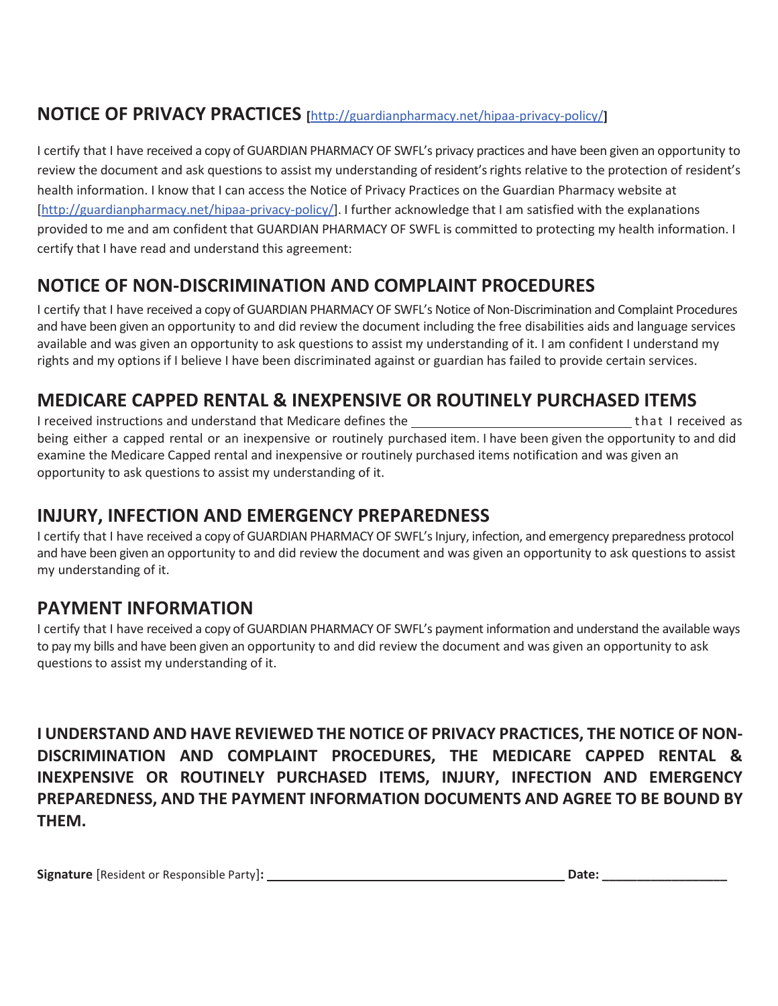## **NOTICE OF PRIVACY PRACTICES [**http://guardianpharmacy.net/hipaa-privacy-policy/**]**

I certify that I have received a copy of GUARDIAN PHARMACY OF SWFL's privacy practices and have been given an opportunity to review the document and ask questions to assist my understanding of resident's rights relative to the protection of resident's health information. I know that I can access the Notice of Privacy Practices on the Guardian Pharmacy website at [http://guardianpharmacy.net/hipaa-privacy-policy/]. I further acknowledge that I am satisfied with the explanations provided to me and am confident that GUARDIAN PHARMACY OF SWFL is committed to protecting my health information. I certify that I have read and understand this agreement:

## **NOTICE OF NON-DISCRIMINATION AND COMPLAINT PROCEDURES**

I certify that I have received a copy of GUARDIAN PHARMACY OF SWFL's Notice of Non-Discrimination and Complaint Procedures and have been given an opportunity to and did review the document including the free disabilities aids and language services available and was given an opportunity to ask questions to assist my understanding of it. I am confident I understand my rights and my options if I believe I have been discriminated against or guardian has failed to provide certain services.

## **MEDICARE CAPPED RENTAL & INEXPENSIVE OR ROUTINELY PURCHASED ITEMS**

I received instructions and understand that Medicare defines the that I received as being either a capped rental or an inexpensive or routinely purchased item. I have been given the opportunity to and did examine the Medicare Capped rental and inexpensive or routinely purchased items notification and was given an opportunity to ask questions to assist my understanding of it.

### **INJURY, INFECTION AND EMERGENCY PREPAREDNESS**

I certify that I have received a copy of GUARDIAN PHARMACY OF SWFL's Injury, infection, and emergency preparedness protocol and have been given an opportunity to and did review the document and was given an opportunity to ask questions to assist my understanding of it.

### **PAYMENT INFORMATION**

I certify that I have received a copy of GUARDIAN PHARMACY OF SWFL's payment information and understand the available ways to pay my bills and have been given an opportunity to and did review the document and was given an opportunity to ask questions to assist my understanding of it.

**I UNDERSTAND AND HAVE REVIEWED THE NOTICE OF PRIVACY PRACTICES, THE NOTICE OF NON-DISCRIMINATION AND COMPLAINT PROCEDURES, THE MEDICARE CAPPED RENTAL & INEXPENSIVE OR ROUTINELY PURCHASED ITEMS, INJURY, INFECTION AND EMERGENCY PREPAREDNESS, AND THE PAYMENT INFORMATION DOCUMENTS AND AGREE TO BE BOUND BY THEM.** 

|  |  | Signature [Resident or Responsible Party]: |  |
|--|--|--------------------------------------------|--|
|--|--|--------------------------------------------|--|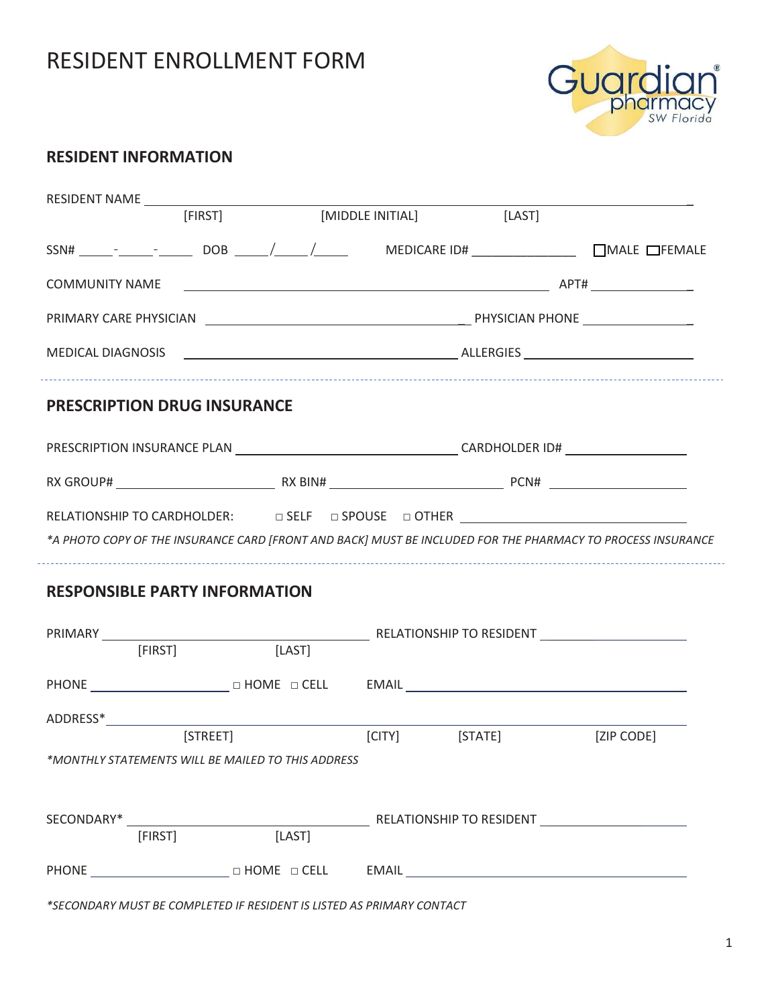## RESIDENT ENROLLMENT FORM



### **RESIDENT INFORMATION**

| RESIDENT NAME                                                                                                                                                                            | [FIRST] [MIDDLE INITIAL] [LAST] |  |                |            |  |
|------------------------------------------------------------------------------------------------------------------------------------------------------------------------------------------|---------------------------------|--|----------------|------------|--|
|                                                                                                                                                                                          |                                 |  |                |            |  |
| <b>COMMUNITY NAME</b>                                                                                                                                                                    |                                 |  |                |            |  |
|                                                                                                                                                                                          |                                 |  |                |            |  |
|                                                                                                                                                                                          |                                 |  |                |            |  |
| <b>PRESCRIPTION DRUG INSURANCE</b>                                                                                                                                                       |                                 |  |                |            |  |
|                                                                                                                                                                                          |                                 |  |                |            |  |
|                                                                                                                                                                                          |                                 |  |                |            |  |
|                                                                                                                                                                                          |                                 |  |                |            |  |
|                                                                                                                                                                                          |                                 |  |                |            |  |
| RELATIONSHIP TO CARDHOLDER: $\Box$ SELF $\Box$ SPOUSE $\Box$ OTHER $\Box$<br>*A PHOTO COPY OF THE INSURANCE CARD [FRONT AND BACK] MUST BE INCLUDED FOR THE PHARMACY TO PROCESS INSURANCE |                                 |  |                |            |  |
|                                                                                                                                                                                          |                                 |  |                |            |  |
|                                                                                                                                                                                          |                                 |  |                |            |  |
| <b>RESPONSIBLE PARTY INFORMATION</b><br>[FIRST]                                                                                                                                          | [LAST]                          |  |                |            |  |
|                                                                                                                                                                                          |                                 |  |                |            |  |
|                                                                                                                                                                                          |                                 |  |                |            |  |
| *MONTHI Y STATEMENTS WILL BE MAILED TO THIS ADDRESS                                                                                                                                      | [STREET]                        |  | [CITY] [STATE] | [ZIP CODE] |  |
|                                                                                                                                                                                          |                                 |  |                |            |  |
|                                                                                                                                                                                          |                                 |  |                |            |  |
| [FIRST]                                                                                                                                                                                  | [LAST]                          |  |                |            |  |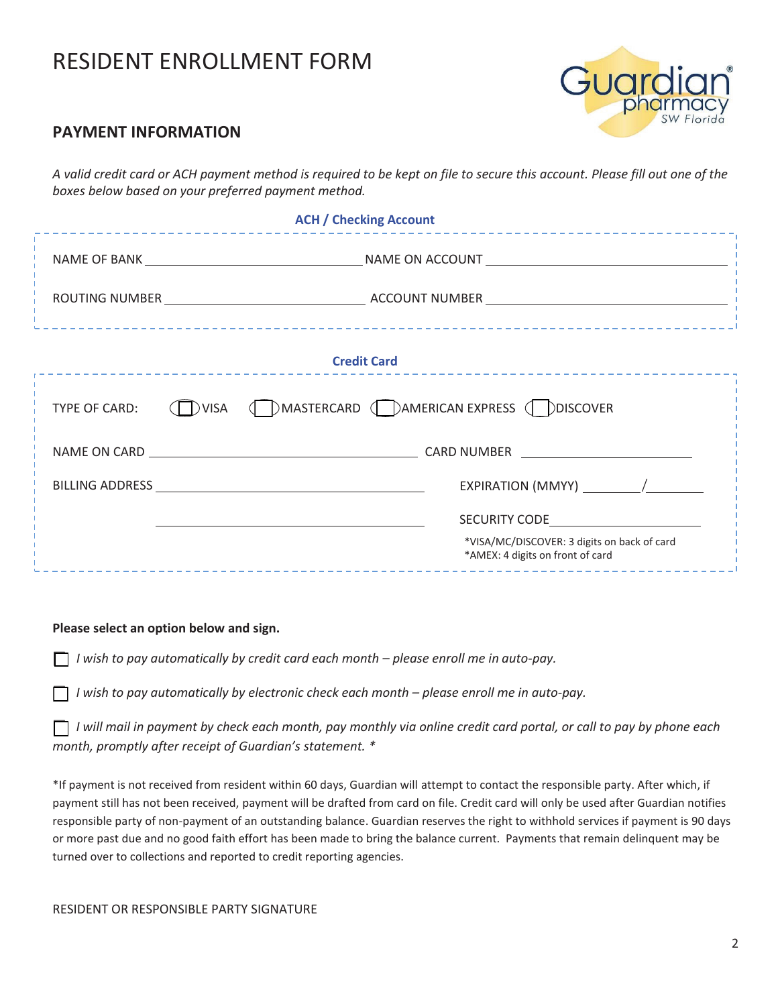## RESIDENT ENROLLMENT FORM



#### **PAYMENT INFORMATION**

*A valid credit card or ACH payment method is required to be kept on file to secure this account. Please fill out one of the boxes below based on your preferred payment method.* 

| <b>ACH / Checking Account</b><br>-------------------------------<br>______________________________ |                                                                                 |  |  |  |  |  |
|----------------------------------------------------------------------------------------------------|---------------------------------------------------------------------------------|--|--|--|--|--|
|                                                                                                    |                                                                                 |  |  |  |  |  |
|                                                                                                    |                                                                                 |  |  |  |  |  |
|                                                                                                    | <b>Credit Card</b>                                                              |  |  |  |  |  |
| TYPE OF CARD:                                                                                      | (D)VISA (D) MASTERCARD (D) AMERICAN EXPRESS (D) DISCOVER                        |  |  |  |  |  |
|                                                                                                    |                                                                                 |  |  |  |  |  |
|                                                                                                    |                                                                                 |  |  |  |  |  |
|                                                                                                    | SECURITY CODE AND THE SECURITY CODE                                             |  |  |  |  |  |
|                                                                                                    | *VISA/MC/DISCOVER: 3 digits on back of card<br>*AMEX: 4 digits on front of card |  |  |  |  |  |

#### **Please select an option below and sign.**

⎕ *I wish to pay automatically by credit card each month – please enroll me in auto-pay.* 

⎕ *I wish to pay automatically by electronic check each month – please enroll me in auto-pay.* 

⎕ *I will mail in payment by check each month, pay monthly via online credit card portal, or call to pay by phone each month, promptly after receipt of Guardian's statement. \** 

\*If payment is not received from resident within 60 days, Guardian will attempt to contact the responsible party. After which, if payment still has not been received, payment will be drafted from card on file. Credit card will only be used after Guardian notifies responsible party of non-payment of an outstanding balance. Guardian reserves the right to withhold services if payment is 90 days or more past due and no good faith effort has been made to bring the balance current. Payments that remain delinquent may be turned over to collections and reported to credit reporting agencies.

#### RESIDENT OR RESPONSIBLE PARTY SIGNATURE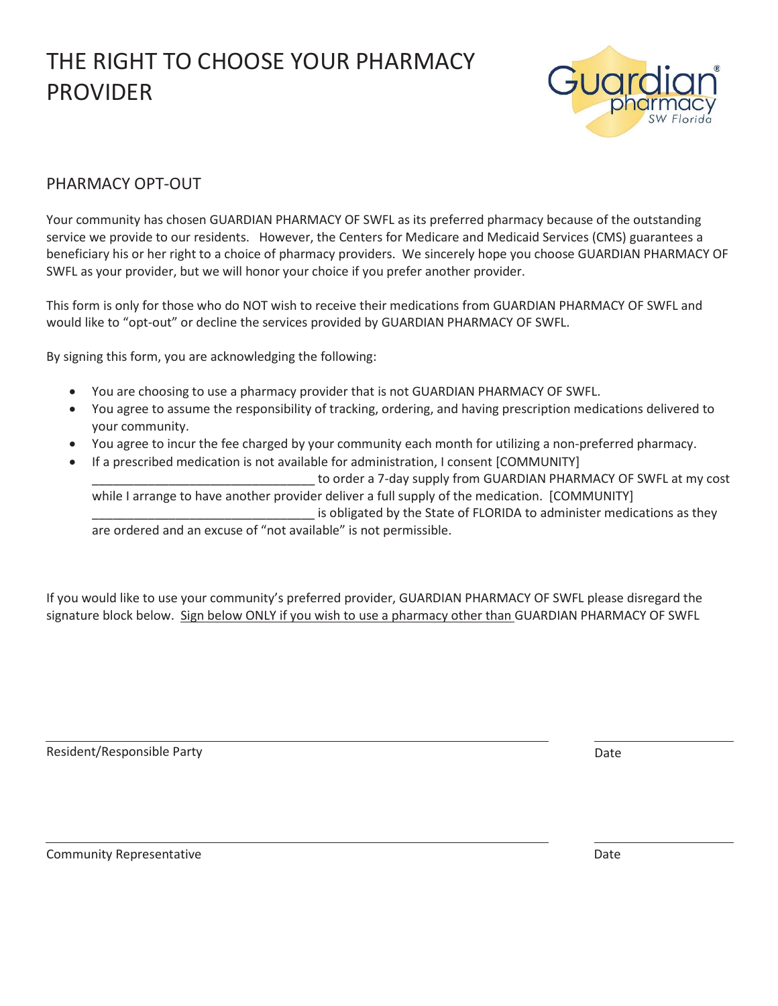

#### PHARMACY OPT-OUT

Your community has chosen GUARDIAN PHARMACY OF SWFL as its preferred pharmacy because of the outstanding service we provide to our residents. However, the Centers for Medicare and Medicaid Services (CMS) guarantees a beneficiary his or her right to a choice of pharmacy providers. We sincerely hope you choose GUARDIAN PHARMACY OF SWFL as your provider, but we will honor your choice if you prefer another provider.

This form is only for those who do NOT wish to receive their medications from GUARDIAN PHARMACY OF SWFL and would like to "opt-out" or decline the services provided by GUARDIAN PHARMACY OF SWFL.

By signing this form, you are acknowledging the following:

- You are choosing to use a pharmacy provider that is not GUARDIAN PHARMACY OF SWFL.
- You agree to assume the responsibility of tracking, ordering, and having prescription medications delivered to your community.
- You agree to incur the fee charged by your community each month for utilizing a non-preferred pharmacy.
- If a prescribed medication is not available for administration, I consent [COMMUNITY]

to order a 7-day supply from GUARDIAN PHARMACY OF SWFL at my cost while I arrange to have another provider deliver a full supply of the medication. [COMMUNITY] is obligated by the State of FLORIDA to administer medications as they are ordered and an excuse of "not available" is not permissible.

If you would like to use your community's preferred provider, GUARDIAN PHARMACY OF SWFL please disregard the signature block below. Sign below ONLY if you wish to use a pharmacy other than GUARDIAN PHARMACY OF SWFL

Resident/Responsible Party **Date of American Control** Control of American Control Control Control Control Control Control Control Control Control Control Control Control Control Control Control Control Control Control Cont

Community Representative Date Date of Community Representative Date Date Date Date